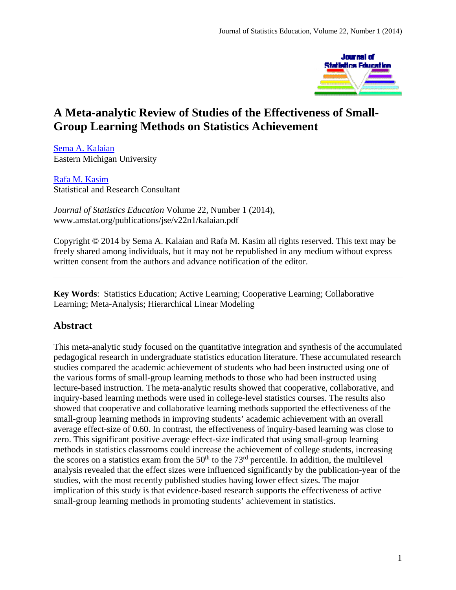

# **A Meta-analytic Review of Studies of the Effectiveness of Small-Group Learning Methods on Statistics Achievement**

Sema A. Kalaian Eastern Michigan University

Rafa M. Kasim Statistical and Research Consultant

*Journal of Statistics Education* Volume 22, Number 1 (2014), www.amstat.org/publications/jse/v22n1/kalaian.pdf

Copyright © 2014 by Sema A. Kalaian and Rafa M. Kasim all rights reserved. This text may be freely shared among individuals, but it may not be republished in any medium without express written consent from the authors and advance notification of the editor.

**Key Words**: Statistics Education; Active Learning; Cooperative Learning; Collaborative Learning; Meta-Analysis; Hierarchical Linear Modeling

## **Abstract**

This meta-analytic study focused on the quantitative integration and synthesis of the accumulated pedagogical research in undergraduate statistics education literature. These accumulated research studies compared the academic achievement of students who had been instructed using one of the various forms of small-group learning methods to those who had been instructed using lecture-based instruction. The meta-analytic results showed that cooperative, collaborative, and inquiry-based learning methods were used in college-level statistics courses. The results also showed that cooperative and collaborative learning methods supported the effectiveness of the small-group learning methods in improving students' academic achievement with an overall average effect-size of 0.60. In contrast, the effectiveness of inquiry-based learning was close to zero. This significant positive average effect-size indicated that using small-group learning methods in statistics classrooms could increase the achievement of college students, increasing the scores on a statistics exam from the  $50<sup>th</sup>$  to the  $73<sup>rd</sup>$  percentile. In addition, the multilevel analysis revealed that the effect sizes were influenced significantly by the publication-year of the studies, with the most recently published studies having lower effect sizes. The major implication of this study is that evidence-based research supports the effectiveness of active small-group learning methods in promoting students' achievement in statistics.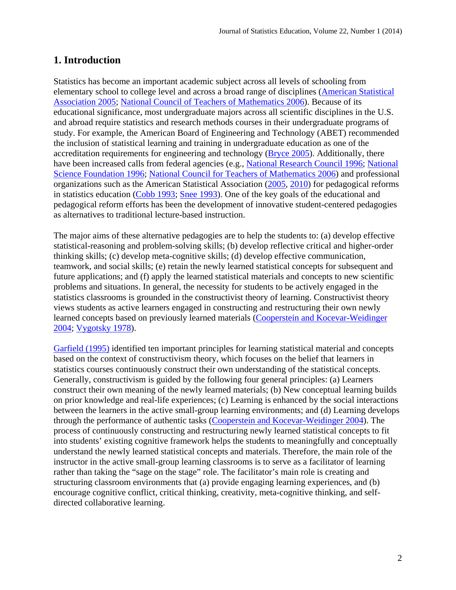#### **1. Introduction**

Statistics has become an important academic subject across all levels of schooling from elementary school to college level and across a broad range of disciplines (American Statistical Association 2005; National Council of Teachers of Mathematics 2006). Because of its educational significance, most undergraduate majors across all scientific disciplines in the U.S. and abroad require statistics and research methods courses in their undergraduate programs of study. For example, the American Board of Engineering and Technology (ABET) recommended the inclusion of statistical learning and training in undergraduate education as one of the accreditation requirements for engineering and technology (Bryce 2005). Additionally, there have been increased calls from federal agencies (e.g., National Research Council 1996; National Science Foundation 1996; National Council for Teachers of Mathematics 2006) and professional organizations such as the American Statistical Association (2005, 2010) for pedagogical reforms in statistics education (Cobb 1993; Snee 1993). One of the key goals of the educational and pedagogical reform efforts has been the development of innovative student-centered pedagogies as alternatives to traditional lecture-based instruction.

The major aims of these alternative pedagogies are to help the students to: (a) develop effective statistical-reasoning and problem-solving skills; (b) develop reflective critical and higher-order thinking skills; (c) develop meta-cognitive skills; (d) develop effective communication, teamwork, and social skills; (e) retain the newly learned statistical concepts for subsequent and future applications; and (f) apply the learned statistical materials and concepts to new scientific problems and situations. In general, the necessity for students to be actively engaged in the statistics classrooms is grounded in the constructivist theory of learning. Constructivist theory views students as active learners engaged in constructing and restructuring their own newly learned concepts based on previously learned materials (Cooperstein and Kocevar-Weidinger 2004; Vygotsky 1978).

Garfield (1995) identified ten important principles for learning statistical material and concepts based on the context of constructivism theory, which focuses on the belief that learners in statistics courses continuously construct their own understanding of the statistical concepts. Generally, constructivism is guided by the following four general principles: (a) Learners construct their own meaning of the newly learned materials; (b) New conceptual learning builds on prior knowledge and real-life experiences; (c) Learning is enhanced by the social interactions between the learners in the active small-group learning environments; and (d) Learning develops through the performance of authentic tasks (Cooperstein and Kocevar-Weidinger 2004). The process of continuously constructing and restructuring newly learned statistical concepts to fit into students' existing cognitive framework helps the students to meaningfully and conceptually understand the newly learned statistical concepts and materials. Therefore, the main role of the instructor in the active small-group learning classrooms is to serve as a facilitator of learning rather than taking the "sage on the stage" role. The facilitator's main role is creating and structuring classroom environments that (a) provide engaging learning experiences, and (b) encourage cognitive conflict, critical thinking, creativity, meta-cognitive thinking, and selfdirected collaborative learning.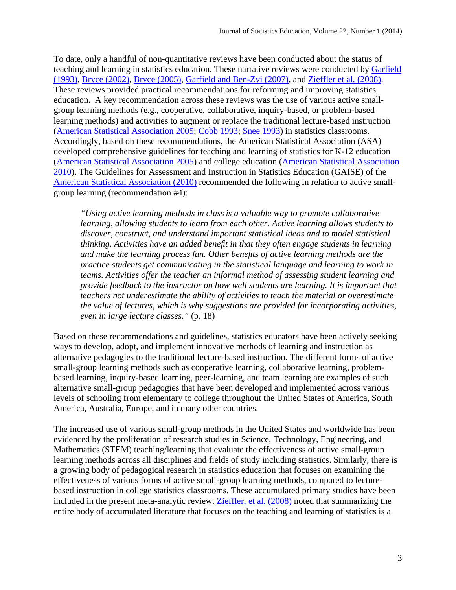To date, only a handful of non-quantitative reviews have been conducted about the status of teaching and learning in statistics education. These narrative reviews were conducted by Garfield (1993), Bryce (2002), Bryce (2005), Garfield and Ben-Zvi (2007), and Zieffler et al. (2008). These reviews provided practical recommendations for reforming and improving statistics education. A key recommendation across these reviews was the use of various active smallgroup learning methods (e.g., cooperative, collaborative, inquiry-based, or problem-based learning methods) and activities to augment or replace the traditional lecture-based instruction (American Statistical Association 2005; Cobb 1993; Snee 1993) in statistics classrooms. Accordingly, based on these recommendations, the American Statistical Association (ASA) developed comprehensive guidelines for teaching and learning of statistics for K-12 education (American Statistical Association 2005) and college education (American Statistical Association 2010). The Guidelines for Assessment and Instruction in Statistics Education (GAISE) of the American Statistical Association (2010) recommended the following in relation to active smallgroup learning (recommendation #4):

*"Using active learning methods in class is a valuable way to promote collaborative learning, allowing students to learn from each other. Active learning allows students to discover, construct, and understand important statistical ideas and to model statistical thinking. Activities have an added benefit in that they often engage students in learning and make the learning process fun. Other benefits of active learning methods are the practice students get communicating in the statistical language and learning to work in teams. Activities offer the teacher an informal method of assessing student learning and provide feedback to the instructor on how well students are learning. It is important that teachers not underestimate the ability of activities to teach the material or overestimate the value of lectures, which is why suggestions are provided for incorporating activities, even in large lecture classes."* (p. 18)

Based on these recommendations and guidelines, statistics educators have been actively seeking ways to develop, adopt, and implement innovative methods of learning and instruction as alternative pedagogies to the traditional lecture-based instruction. The different forms of active small-group learning methods such as cooperative learning, collaborative learning, problembased learning, inquiry-based learning, peer-learning, and team learning are examples of such alternative small-group pedagogies that have been developed and implemented across various levels of schooling from elementary to college throughout the United States of America, South America, Australia, Europe, and in many other countries.

The increased use of various small-group methods in the United States and worldwide has been evidenced by the proliferation of research studies in Science, Technology, Engineering, and Mathematics (STEM) teaching/learning that evaluate the effectiveness of active small-group learning methods across all disciplines and fields of study including statistics. Similarly, there is a growing body of pedagogical research in statistics education that focuses on examining the effectiveness of various forms of active small-group learning methods, compared to lecturebased instruction in college statistics classrooms. These accumulated primary studies have been included in the present meta-analytic review. Zieffler, et al. (2008) noted that summarizing the entire body of accumulated literature that focuses on the teaching and learning of statistics is a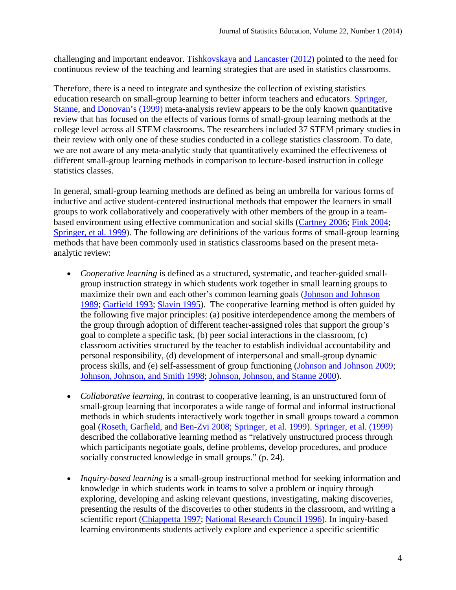challenging and important endeavor. Tishkovskaya and Lancaster (2012) pointed to the need for continuous review of the teaching and learning strategies that are used in statistics classrooms.

Therefore, there is a need to integrate and synthesize the collection of existing statistics education research on small-group learning to better inform teachers and educators. Springer, Stanne, and Donovan's (1999) meta-analysis review appears to be the only known quantitative review that has focused on the effects of various forms of small-group learning methods at the college level across all STEM classrooms. The researchers included 37 STEM primary studies in their review with only one of these studies conducted in a college statistics classroom. To date, we are not aware of any meta-analytic study that quantitatively examined the effectiveness of different small-group learning methods in comparison to lecture-based instruction in college statistics classes.

In general, small-group learning methods are defined as being an umbrella for various forms of inductive and active student-centered instructional methods that empower the learners in small groups to work collaboratively and cooperatively with other members of the group in a teambased environment using effective communication and social skills (Cartney 2006; Fink 2004; Springer, et al. 1999). The following are definitions of the various forms of small-group learning methods that have been commonly used in statistics classrooms based on the present metaanalytic review:

- *Cooperative learning* is defined as a structured, systematic, and teacher-guided smallgroup instruction strategy in which students work together in small learning groups to maximize their own and each other's common learning goals (Johnson and Johnson 1989; Garfield 1993; Slavin 1995). The cooperative learning method is often guided by the following five major principles: (a) positive interdependence among the members of the group through adoption of different teacher-assigned roles that support the group's goal to complete a specific task, (b) peer social interactions in the classroom, (c) classroom activities structured by the teacher to establish individual accountability and personal responsibility, (d) development of interpersonal and small-group dynamic process skills, and (e) self-assessment of group functioning (Johnson and Johnson 2009; Johnson, Johnson, and Smith 1998; Johnson, Johnson, and Stanne 2000).
- *Collaborative learning*, in contrast to cooperative learning, is an unstructured form of small-group learning that incorporates a wide range of formal and informal instructional methods in which students interactively work together in small groups toward a common goal (Roseth, Garfield, and Ben-Zvi 2008; Springer, et al. 1999). Springer, et al. (1999) described the collaborative learning method as "relatively unstructured process through which participants negotiate goals, define problems, develop procedures, and produce socially constructed knowledge in small groups." (p. 24).
- *Inquiry-based learning* is a small-group instructional method for seeking information and knowledge in which students work in teams to solve a problem or inquiry through exploring, developing and asking relevant questions, investigating, making discoveries, presenting the results of the discoveries to other students in the classroom, and writing a scientific report (Chiappetta 1997; National Research Council 1996). In inquiry-based learning environments students actively explore and experience a specific scientific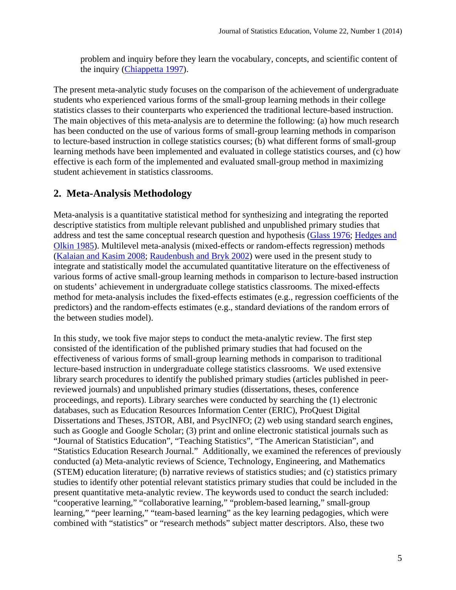problem and inquiry before they learn the vocabulary, concepts, and scientific content of the inquiry (Chiappetta 1997).

The present meta-analytic study focuses on the comparison of the achievement of undergraduate students who experienced various forms of the small-group learning methods in their college statistics classes to their counterparts who experienced the traditional lecture-based instruction. The main objectives of this meta-analysis are to determine the following: (a) how much research has been conducted on the use of various forms of small-group learning methods in comparison to lecture-based instruction in college statistics courses; (b) what different forms of small-group learning methods have been implemented and evaluated in college statistics courses, and (c) how effective is each form of the implemented and evaluated small-group method in maximizing student achievement in statistics classrooms.

## **2. Meta-Analysis Methodology**

Meta-analysis is a quantitative statistical method for synthesizing and integrating the reported descriptive statistics from multiple relevant published and unpublished primary studies that address and test the same conceptual research question and hypothesis (Glass 1976; Hedges and Olkin 1985). Multilevel meta-analysis (mixed-effects or random-effects regression) methods (Kalaian and Kasim 2008; Raudenbush and Bryk 2002) were used in the present study to integrate and statistically model the accumulated quantitative literature on the effectiveness of various forms of active small-group learning methods in comparison to lecture-based instruction on students' achievement in undergraduate college statistics classrooms. The mixed-effects method for meta-analysis includes the fixed-effects estimates (e.g., regression coefficients of the predictors) and the random-effects estimates (e.g., standard deviations of the random errors of the between studies model).

In this study, we took five major steps to conduct the meta-analytic review. The first step consisted of the identification of the published primary studies that had focused on the effectiveness of various forms of small-group learning methods in comparison to traditional lecture-based instruction in undergraduate college statistics classrooms. We used extensive library search procedures to identify the published primary studies (articles published in peerreviewed journals) and unpublished primary studies (dissertations, theses, conference proceedings, and reports). Library searches were conducted by searching the (1) electronic databases, such as Education Resources Information Center (ERIC), ProQuest Digital Dissertations and Theses, JSTOR, ABI, and PsycINFO; (2) web using standard search engines, such as Google and Google Scholar; (3) print and online electronic statistical journals such as "Journal of Statistics Education", "Teaching Statistics", "The American Statistician", and "Statistics Education Research Journal." Additionally, we examined the references of previously conducted (a) Meta-analytic reviews of Science, Technology, Engineering, and Mathematics (STEM) education literature; (b) narrative reviews of statistics studies; and (c) statistics primary studies to identify other potential relevant statistics primary studies that could be included in the present quantitative meta-analytic review. The keywords used to conduct the search included: "cooperative learning," "collaborative learning," "problem-based learning," small-group learning," "peer learning," "team-based learning" as the key learning pedagogies, which were combined with "statistics" or "research methods" subject matter descriptors. Also, these two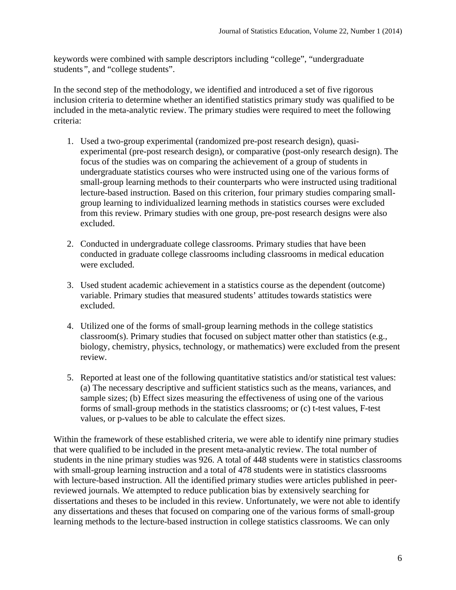keywords were combined with sample descriptors including "college", "undergraduate students*"*, and "college students".

In the second step of the methodology, we identified and introduced a set of five rigorous inclusion criteria to determine whether an identified statistics primary study was qualified to be included in the meta-analytic review. The primary studies were required to meet the following criteria:

- 1. Used a two-group experimental (randomized pre-post research design), quasiexperimental (pre-post research design), or comparative (post-only research design). The focus of the studies was on comparing the achievement of a group of students in undergraduate statistics courses who were instructed using one of the various forms of small-group learning methods to their counterparts who were instructed using traditional lecture-based instruction. Based on this criterion, four primary studies comparing smallgroup learning to individualized learning methods in statistics courses were excluded from this review. Primary studies with one group, pre-post research designs were also excluded.
- 2. Conducted in undergraduate college classrooms. Primary studies that have been conducted in graduate college classrooms including classrooms in medical education were excluded.
- 3. Used student academic achievement in a statistics course as the dependent (outcome) variable. Primary studies that measured students' attitudes towards statistics were excluded.
- 4. Utilized one of the forms of small-group learning methods in the college statistics classroom(s). Primary studies that focused on subject matter other than statistics (e.g., biology, chemistry, physics, technology, or mathematics) were excluded from the present review.
- 5. Reported at least one of the following quantitative statistics and/or statistical test values: (a) The necessary descriptive and sufficient statistics such as the means, variances, and sample sizes; (b) Effect sizes measuring the effectiveness of using one of the various forms of small-group methods in the statistics classrooms; or (c) t-test values, F-test values, or p-values to be able to calculate the effect sizes.

Within the framework of these established criteria, we were able to identify nine primary studies that were qualified to be included in the present meta-analytic review. The total number of students in the nine primary studies was 926. A total of 448 students were in statistics classrooms with small-group learning instruction and a total of 478 students were in statistics classrooms with lecture-based instruction. All the identified primary studies were articles published in peerreviewed journals. We attempted to reduce publication bias by extensively searching for dissertations and theses to be included in this review. Unfortunately, we were not able to identify any dissertations and theses that focused on comparing one of the various forms of small-group learning methods to the lecture-based instruction in college statistics classrooms. We can only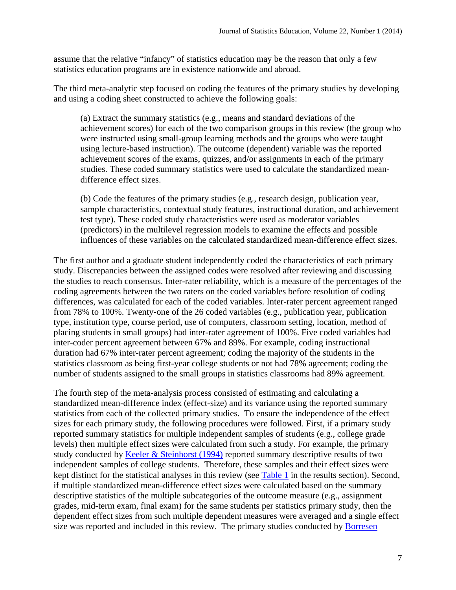assume that the relative "infancy" of statistics education may be the reason that only a few statistics education programs are in existence nationwide and abroad.

The third meta-analytic step focused on coding the features of the primary studies by developing and using a coding sheet constructed to achieve the following goals:

(a) Extract the summary statistics (e.g., means and standard deviations of the achievement scores) for each of the two comparison groups in this review (the group who were instructed using small-group learning methods and the groups who were taught using lecture-based instruction). The outcome (dependent) variable was the reported achievement scores of the exams, quizzes, and/or assignments in each of the primary studies. These coded summary statistics were used to calculate the standardized meandifference effect sizes.

(b) Code the features of the primary studies (e.g., research design, publication year, sample characteristics, contextual study features, instructional duration, and achievement test type). These coded study characteristics were used as moderator variables (predictors) in the multilevel regression models to examine the effects and possible influences of these variables on the calculated standardized mean-difference effect sizes.

The first author and a graduate student independently coded the characteristics of each primary study. Discrepancies between the assigned codes were resolved after reviewing and discussing the studies to reach consensus. Inter-rater reliability, which is a measure of the percentages of the coding agreements between the two raters on the coded variables before resolution of coding differences, was calculated for each of the coded variables. Inter-rater percent agreement ranged from 78% to 100%. Twenty-one of the 26 coded variables (e.g., publication year, publication type, institution type, course period, use of computers, classroom setting, location, method of placing students in small groups) had inter-rater agreement of 100%. Five coded variables had inter-coder percent agreement between 67% and 89%. For example, coding instructional duration had 67% inter-rater percent agreement; coding the majority of the students in the statistics classroom as being first-year college students or not had 78% agreement; coding the number of students assigned to the small groups in statistics classrooms had 89% agreement.

The fourth step of the meta-analysis process consisted of estimating and calculating a standardized mean-difference index (effect-size) and its variance using the reported summary statistics from each of the collected primary studies.To ensure the independence of the effect sizes for each primary study, the following procedures were followed. First, if a primary study reported summary statistics for multiple independent samples of students (e.g., college grade levels) then multiple effect sizes were calculated from such a study. For example, the primary study conducted by Keeler & Steinhorst (1994) reported summary descriptive results of two independent samples of college students. Therefore, these samples and their effect sizes were kept distinct for the statistical analyses in this review (see Table 1 in the results section). Second, if multiple standardized mean-difference effect sizes were calculated based on the summary descriptive statistics of the multiple subcategories of the outcome measure (e.g., assignment grades, mid-term exam, final exam) for the same students per statistics primary study, then the dependent effect sizes from such multiple dependent measures were averaged and a single effect size was reported and included in this review. The primary studies conducted by Borresen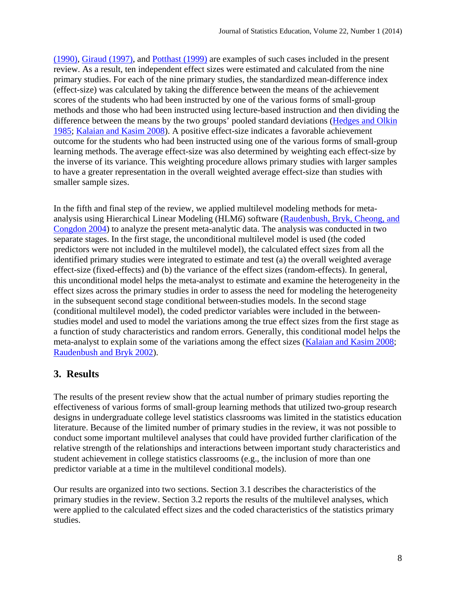(1990), Giraud (1997), and Potthast (1999) are examples of such cases included in the present review. As a result, ten independent effect sizes were estimated and calculated from the nine primary studies. For each of the nine primary studies, the standardized mean-difference index (effect-size) was calculated by taking the difference between the means of the achievement scores of the students who had been instructed by one of the various forms of small-group methods and those who had been instructed using lecture-based instruction and then dividing the difference between the means by the two groups' pooled standard deviations (Hedges and Olkin 1985; Kalaian and Kasim 2008). A positive effect-size indicates a favorable achievement outcome for the students who had been instructed using one of the various forms of small-group learning methods. The average effect-size was also determined by weighting each effect-size by the inverse of its variance. This weighting procedure allows primary studies with larger samples to have a greater representation in the overall weighted average effect-size than studies with smaller sample sizes.

In the fifth and final step of the review, we applied multilevel modeling methods for metaanalysis using Hierarchical Linear Modeling (HLM*6*) software (Raudenbush, Bryk, Cheong, and Congdon 2004) to analyze the present meta-analytic data. The analysis was conducted in two separate stages. In the first stage, the unconditional multilevel model is used (the coded predictors were not included in the multilevel model), the calculated effect sizes from all the identified primary studies were integrated to estimate and test (a) the overall weighted average effect-size (fixed-effects) and (b) the variance of the effect sizes (random-effects). In general, this unconditional model helps the meta-analyst to estimate and examine the heterogeneity in the effect sizes across the primary studies in order to assess the need for modeling the heterogeneity in the subsequent second stage conditional between-studies models. In the second stage (conditional multilevel model), the coded predictor variables were included in the betweenstudies model and used to model the variations among the true effect sizes from the first stage as a function of study characteristics and random errors. Generally, this conditional model helps the meta-analyst to explain some of the variations among the effect sizes (Kalaian and Kasim 2008; Raudenbush and Bryk 2002).

#### **3. Results**

The results of the present review show that the actual number of primary studies reporting the effectiveness of various forms of small-group learning methods that utilized two-group research designs in undergraduate college level statistics classrooms was limited in the statistics education literature. Because of the limited number of primary studies in the review, it was not possible to conduct some important multilevel analyses that could have provided further clarification of the relative strength of the relationships and interactions between important study characteristics and student achievement in college statistics classrooms (e.g., the inclusion of more than one predictor variable at a time in the multilevel conditional models).

Our results are organized into two sections. Section 3.1 describes the characteristics of the primary studies in the review. Section 3.2 reports the results of the multilevel analyses, which were applied to the calculated effect sizes and the coded characteristics of the statistics primary studies.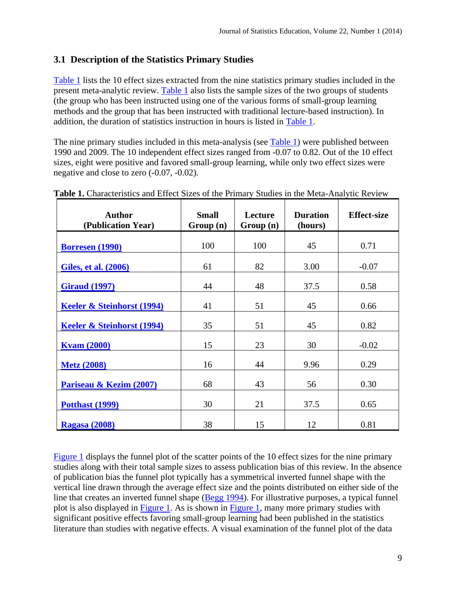### **3.1 Description of the Statistics Primary Studies**

Table 1 lists the 10 effect sizes extracted from the nine statistics primary studies included in the present meta-analytic review. Table 1 also lists the sample sizes of the two groups of students (the group who has been instructed using one of the various forms of small-group learning methods and the group that has been instructed with traditional lecture-based instruction). In addition, the duration of statistics instruction in hours is listed in Table 1.

The nine primary studies included in this meta-analysis (see Table 1) were published between 1990 and 2009. The 10 independent effect sizes ranged from -0.07 to 0.82. Out of the 10 effect sizes, eight were positive and favored small-group learning, while only two effect sizes were negative and close to zero (-0.07, -0.02).

| <b>Author</b><br>(Publication Year)   | <b>Small</b><br>Group(n) | Lecture<br>Group(n) | <b>Duration</b><br>(hours) | <b>Effect-size</b> |  |
|---------------------------------------|--------------------------|---------------------|----------------------------|--------------------|--|
| <b>Borresen</b> (1990)                | 100                      | 100                 | 45                         | 0.71               |  |
| Giles, et al. (2006)                  | 61                       | 82                  | 3.00                       | $-0.07$            |  |
| <b>Giraud</b> (1997)                  | 44                       | 48                  | 37.5                       | 0.58               |  |
| <b>Keeler &amp; Steinhorst (1994)</b> | 41                       | 51                  | 45                         | 0.66               |  |
| <b>Keeler &amp; Steinhorst (1994)</b> | 35                       | 51                  | 45                         | 0.82               |  |
| <b>Kvam (2000)</b>                    | 15                       | 23                  | 30                         | $-0.02$            |  |
| <b>Metz</b> (2008)                    | 16                       | 44                  | 9.96                       | 0.29               |  |
| Pariseau & Kezim (2007)               | 68                       | 43                  | 56                         | 0.30               |  |
| <b>Potthast (1999)</b>                | 30                       | 21                  | 37.5                       | 0.65               |  |
| <b>Ragasa (2008)</b>                  | 38                       | 15                  | 12                         | 0.81               |  |

Figure 1 displays the funnel plot of the scatter points of the 10 effect sizes for the nine primary studies along with their total sample sizes to assess publication bias of this review. In the absence of publication bias the funnel plot typically has a symmetrical inverted funnel shape with the vertical line drawn through the average effect size and the points distributed on either side of the line that creates an inverted funnel shape (Begg 1994). For illustrative purposes, a typical funnel plot is also displayed in Figure 1. As is shown in Figure 1, many more primary studies with significant positive effects favoring small-group learning had been published in the statistics literature than studies with negative effects. A visual examination of the funnel plot of the data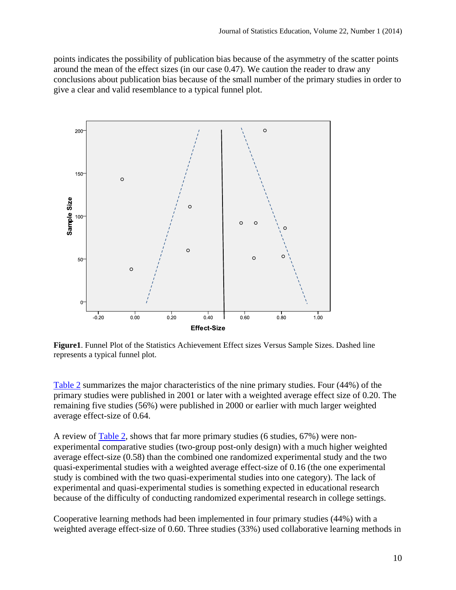points indicates the possibility of publication bias because of the asymmetry of the scatter points around the mean of the effect sizes (in our case 0.47). We caution the reader to draw any conclusions about publication bias because of the small number of the primary studies in order to give a clear and valid resemblance to a typical funnel plot.



**Figure1**. Funnel Plot of the Statistics Achievement Effect sizes Versus Sample Sizes. Dashed line represents a typical funnel plot.

Table 2 summarizes the major characteristics of the nine primary studies. Four (44%) of the primary studies were published in 2001 or later with a weighted average effect size of 0.20. The remaining five studies (56%) were published in 2000 or earlier with much larger weighted average effect-size of 0.64.

A review of Table 2, shows that far more primary studies (6 studies, 67%) were nonexperimental comparative studies (two-group post-only design) with a much higher weighted average effect-size (0.58) than the combined one randomized experimental study and the two quasi-experimental studies with a weighted average effect-size of 0.16 (the one experimental study is combined with the two quasi-experimental studies into one category). The lack of experimental and quasi-experimental studies is something expected in educational research because of the difficulty of conducting randomized experimental research in college settings.

Cooperative learning methods had been implemented in four primary studies (44%) with a weighted average effect-size of 0.60. Three studies (33%) used collaborative learning methods in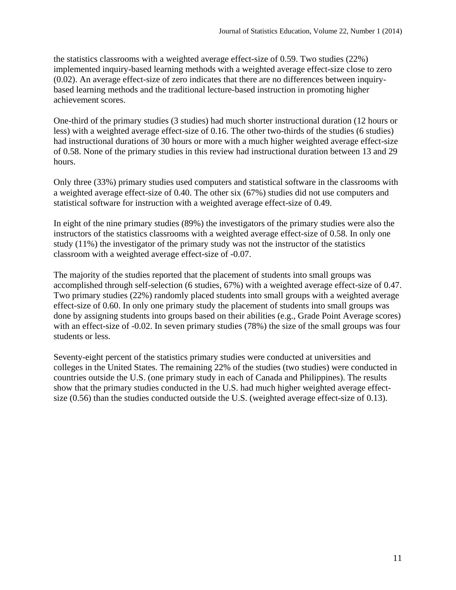the statistics classrooms with a weighted average effect-size of 0.59. Two studies (22%) implemented inquiry-based learning methods with a weighted average effect-size close to zero (0.02). An average effect-size of zero indicates that there are no differences between inquirybased learning methods and the traditional lecture-based instruction in promoting higher achievement scores.

One-third of the primary studies (3 studies) had much shorter instructional duration (12 hours or less) with a weighted average effect-size of 0.16. The other two-thirds of the studies (6 studies) had instructional durations of 30 hours or more with a much higher weighted average effect-size of 0.58. None of the primary studies in this review had instructional duration between 13 and 29 hours.

Only three (33%) primary studies used computers and statistical software in the classrooms with a weighted average effect-size of 0.40. The other six (67%) studies did not use computers and statistical software for instruction with a weighted average effect-size of 0.49.

In eight of the nine primary studies (89%) the investigators of the primary studies were also the instructors of the statistics classrooms with a weighted average effect-size of 0.58. In only one study (11%) the investigator of the primary study was not the instructor of the statistics classroom with a weighted average effect-size of -0.07.

The majority of the studies reported that the placement of students into small groups was accomplished through self-selection (6 studies, 67%) with a weighted average effect-size of 0.47. Two primary studies (22%) randomly placed students into small groups with a weighted average effect-size of 0.60. In only one primary study the placement of students into small groups was done by assigning students into groups based on their abilities (e.g., Grade Point Average scores) with an effect-size of -0.02. In seven primary studies (78%) the size of the small groups was four students or less.

Seventy-eight percent of the statistics primary studies were conducted at universities and colleges in the United States. The remaining 22% of the studies (two studies) were conducted in countries outside the U.S. (one primary study in each of Canada and Philippines). The results show that the primary studies conducted in the U.S. had much higher weighted average effectsize (0.56) than the studies conducted outside the U.S. (weighted average effect-size of 0.13).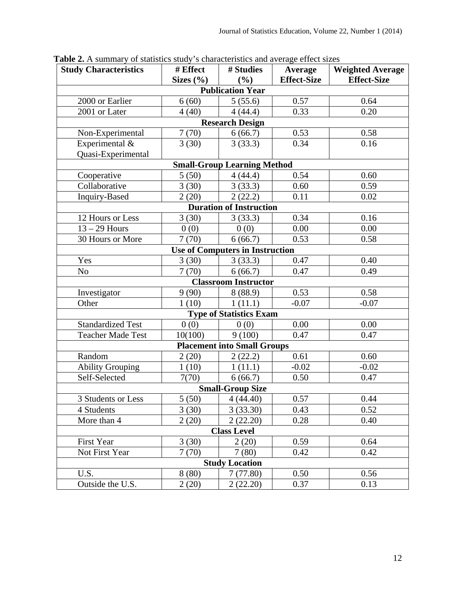| <b>Study Characteristics</b>       | # Effect      | # Studies                              | <b>Average</b>     | <b>Weighted Average</b> |  |  |  |  |  |
|------------------------------------|---------------|----------------------------------------|--------------------|-------------------------|--|--|--|--|--|
|                                    | Sizes $(\% )$ | (9/0)                                  | <b>Effect-Size</b> | <b>Effect-Size</b>      |  |  |  |  |  |
| <b>Publication Year</b>            |               |                                        |                    |                         |  |  |  |  |  |
| 2000 or Earlier                    | 6(60)         | 5(55.6)                                | 0.57               | 0.64                    |  |  |  |  |  |
| 2001 or Later                      | 4(40)         | 4(44.4)                                | 0.33               | 0.20                    |  |  |  |  |  |
|                                    |               | <b>Research Design</b>                 |                    |                         |  |  |  |  |  |
| Non-Experimental                   | 7(70)         | 6(66.7)                                | 0.53               | 0.58                    |  |  |  |  |  |
| Experimental &                     | 3(30)         | 3(33.3)                                | 0.34               | 0.16                    |  |  |  |  |  |
| Quasi-Experimental                 |               |                                        |                    |                         |  |  |  |  |  |
| <b>Small-Group Learning Method</b> |               |                                        |                    |                         |  |  |  |  |  |
| Cooperative                        | 5(50)         | 4(44.4)                                | 0.54               | 0.60                    |  |  |  |  |  |
| Collaborative                      | 3(30)         | 3(33.3)                                | 0.60               | 0.59                    |  |  |  |  |  |
| Inquiry-Based                      | 2(20)         | 2(22.2)                                | 0.11               | 0.02                    |  |  |  |  |  |
| <b>Duration of Instruction</b>     |               |                                        |                    |                         |  |  |  |  |  |
| 12 Hours or Less                   | 3(30)         | 3(33.3)                                | 0.34               | 0.16                    |  |  |  |  |  |
| $13 - 29$ Hours                    | 0(0)          | 0(0)                                   | 0.00               | 0.00                    |  |  |  |  |  |
| 30 Hours or More                   | 7(70)         | 6(66.7)                                | 0.53               | 0.58                    |  |  |  |  |  |
|                                    |               | <b>Use of Computers in Instruction</b> |                    |                         |  |  |  |  |  |
| Yes                                | 3(30)         | 3(33.3)                                | 0.47               | 0.40                    |  |  |  |  |  |
| N <sub>o</sub>                     | 7(70)         | 6(66.7)                                | 0.47               | 0.49                    |  |  |  |  |  |
|                                    |               | <b>Classroom Instructor</b>            |                    |                         |  |  |  |  |  |
| Investigator                       | 9(90)         | 8(88.9)                                | 0.53               | 0.58                    |  |  |  |  |  |
| Other                              | 1(10)         | 1(11.1)                                | $-0.07$            | $-0.07$                 |  |  |  |  |  |
| <b>Type of Statistics Exam</b>     |               |                                        |                    |                         |  |  |  |  |  |
| <b>Standardized Test</b>           | 0(0)          | 0(0)                                   | 0.00               | 0.00                    |  |  |  |  |  |
| <b>Teacher Made Test</b>           | 10(100)       | 9(100)                                 | 0.47               | 0.47                    |  |  |  |  |  |
| <b>Placement into Small Groups</b> |               |                                        |                    |                         |  |  |  |  |  |
| Random                             | 2(20)         | 2(22.2)                                | 0.61               | 0.60                    |  |  |  |  |  |
| <b>Ability Grouping</b>            | 1(10)         | 1(11.1)                                | $-0.02$            | $-0.02$                 |  |  |  |  |  |
| Self-Selected                      | 7(70)         | 6(66.7)                                | 0.50               | 0.47                    |  |  |  |  |  |
| <b>Small-Group Size</b>            |               |                                        |                    |                         |  |  |  |  |  |
| 3 Students or Less                 |               | $5(50)$ $4(44.40)$                     | 0.57               | 0.44                    |  |  |  |  |  |
| 4 Students                         | 3(30)         | 3(33.30)                               | 0.43               | 0.52                    |  |  |  |  |  |
| More than 4                        | 2(20)         | 2(22.20)                               | 0.28               | 0.40                    |  |  |  |  |  |
| <b>Class Level</b>                 |               |                                        |                    |                         |  |  |  |  |  |
| First Year                         | 3(30)         | 2(20)                                  | 0.59               | 0.64                    |  |  |  |  |  |
| Not First Year                     | 7(70)         | 7(80)                                  | 0.42               | 0.42                    |  |  |  |  |  |
| <b>Study Location</b>              |               |                                        |                    |                         |  |  |  |  |  |
| U.S.                               | 8(80)         | 7(77.80)                               | 0.50               | 0.56                    |  |  |  |  |  |
| Outside the U.S.                   | 2(20)         | 2(22.20)                               | 0.37               | 0.13                    |  |  |  |  |  |

**Table 2.** A summary of statistics study's characteristics and average effect sizes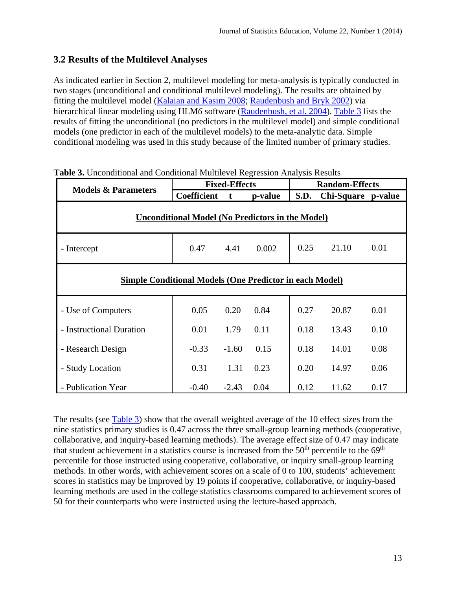#### **3.2 Results of the Multilevel Analyses**

As indicated earlier in Section 2, multilevel modeling for meta-analysis is typically conducted in two stages (unconditional and conditional multilevel modeling). The results are obtained by fitting the multilevel model (Kalaian and Kasim 2008; Raudenbush and Bryk 2002) via hierarchical linear modeling using HLM*6* software (Raudenbush, et al. 2004). Table 3 lists the results of fitting the unconditional (no predictors in the multilevel model) and simple conditional models (one predictor in each of the multilevel models) to the meta-analytic data. Simple conditional modeling was used in this study because of the limited number of primary studies.

| <b>Models &amp; Parameters</b>                                 | <b>Fixed-Effects</b> |         |         | <b>Random-Effects</b> |                    |      |  |  |  |  |
|----------------------------------------------------------------|----------------------|---------|---------|-----------------------|--------------------|------|--|--|--|--|
|                                                                | <b>Coefficient</b>   | t       | p-value | S.D.                  | Chi-Square p-value |      |  |  |  |  |
| <b>Unconditional Model (No Predictors in the Model)</b>        |                      |         |         |                       |                    |      |  |  |  |  |
| - Intercept                                                    | 0.47                 | 4.41    | 0.002   | 0.25                  | 21.10              | 0.01 |  |  |  |  |
| <b>Simple Conditional Models (One Predictor in each Model)</b> |                      |         |         |                       |                    |      |  |  |  |  |
| - Use of Computers                                             | 0.05                 | 0.20    | 0.84    | 0.27                  | 20.87              | 0.01 |  |  |  |  |
| - Instructional Duration                                       | 0.01                 | 1.79    | 0.11    | 0.18                  | 13.43              | 0.10 |  |  |  |  |
| - Research Design                                              | $-0.33$              | $-1.60$ | 0.15    | 0.18                  | 14.01              | 0.08 |  |  |  |  |
| - Study Location                                               | 0.31                 | 1.31    | 0.23    | 0.20                  | 14.97              | 0.06 |  |  |  |  |
| - Publication Year                                             | $-0.40$              | $-2.43$ | 0.04    | 0.12                  | 11.62              | 0.17 |  |  |  |  |

**Table 3.** Unconditional and Conditional Multilevel Regression Analysis Results

The results (see Table 3) show that the overall weighted average of the 10 effect sizes from the nine statistics primary studies is 0.47 across the three small-group learning methods (cooperative, collaborative, and inquiry-based learning methods). The average effect size of 0.47 may indicate that student achievement in a statistics course is increased from the  $50<sup>th</sup>$  percentile to the  $69<sup>th</sup>$ percentile for those instructed using cooperative, collaborative, or inquiry small-group learning methods. In other words, with achievement scores on a scale of 0 to 100, students' achievement scores in statistics may be improved by 19 points if cooperative, collaborative, or inquiry-based learning methods are used in the college statistics classrooms compared to achievement scores of 50 for their counterparts who were instructed using the lecture-based approach.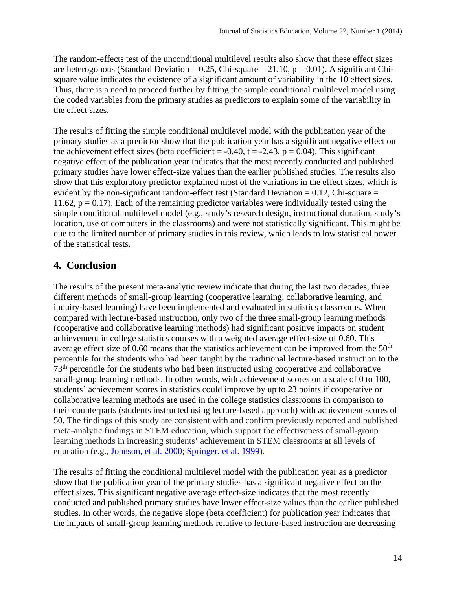The random-effects test of the unconditional multilevel results also show that these effect sizes are heterogonous (Standard Deviation =  $0.25$ , Chi-square =  $21.10$ , p =  $0.01$ ). A significant Chisquare value indicates the existence of a significant amount of variability in the 10 effect sizes. Thus, there is a need to proceed further by fitting the simple conditional multilevel model using the coded variables from the primary studies as predictors to explain some of the variability in the effect sizes.

The results of fitting the simple conditional multilevel model with the publication year of the primary studies as a predictor show that the publication year has a significant negative effect on the achievement effect sizes (beta coefficient =  $-0.40$ , t =  $-2.43$ , p = 0.04). This significant negative effect of the publication year indicates that the most recently conducted and published primary studies have lower effect-size values than the earlier published studies. The results also show that this exploratory predictor explained most of the variations in the effect sizes, which is evident by the non-significant random-effect test (Standard Deviation  $= 0.12$ , Chi-square  $=$ 11.62,  $p = 0.17$ ). Each of the remaining predictor variables were individually tested using the simple conditional multilevel model (e.g., study's research design, instructional duration, study's location, use of computers in the classrooms) and were not statistically significant. This might be due to the limited number of primary studies in this review, which leads to low statistical power of the statistical tests.

### **4. Conclusion**

The results of the present meta-analytic review indicate that during the last two decades, three different methods of small-group learning (cooperative learning, collaborative learning, and inquiry-based learning) have been implemented and evaluated in statistics classrooms. When compared with lecture-based instruction, only two of the three small-group learning methods (cooperative and collaborative learning methods) had significant positive impacts on student achievement in college statistics courses with a weighted average effect-size of 0.60. This average effect size of 0.60 means that the statistics achievement can be improved from the  $50<sup>th</sup>$ percentile for the students who had been taught by the traditional lecture-based instruction to the 73th percentile for the students who had been instructed using cooperative and collaborative small-group learning methods. In other words, with achievement scores on a scale of 0 to 100, students' achievement scores in statistics could improve by up to 23 points if cooperative or collaborative learning methods are used in the college statistics classrooms in comparison to their counterparts (students instructed using lecture-based approach) with achievement scores of 50. The findings of this study are consistent with and confirm previously reported and published meta-analytic findings in STEM education, which support the effectiveness of small-group learning methods in increasing students' achievement in STEM classrooms at all levels of education (e.g., Johnson, et al. 2000; Springer, et al. 1999).

The results of fitting the conditional multilevel model with the publication year as a predictor show that the publication year of the primary studies has a significant negative effect on the effect sizes. This significant negative average effect-size indicates that the most recently conducted and published primary studies have lower effect-size values than the earlier published studies. In other words, the negative slope (beta coefficient) for publication year indicates that the impacts of small-group learning methods relative to lecture-based instruction are decreasing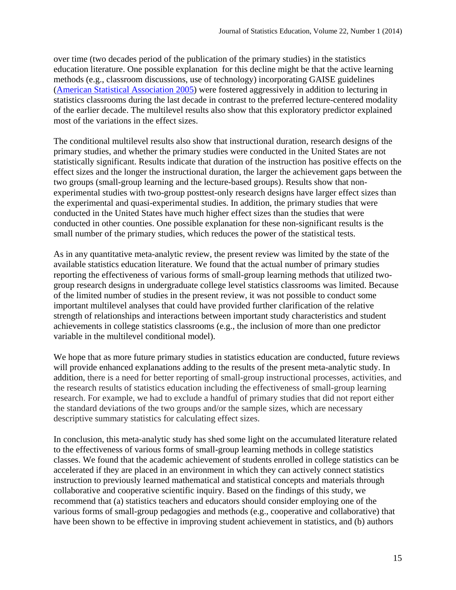over time (two decades period of the publication of the primary studies) in the statistics education literature. One possible explanation for this decline might be that the active learning methods (e.g., classroom discussions, use of technology) incorporating GAISE guidelines (American Statistical Association 2005) were fostered aggressively in addition to lecturing in statistics classrooms during the last decade in contrast to the preferred lecture-centered modality of the earlier decade. The multilevel results also show that this exploratory predictor explained most of the variations in the effect sizes.

The conditional multilevel results also show that instructional duration, research designs of the primary studies, and whether the primary studies were conducted in the United States are not statistically significant. Results indicate that duration of the instruction has positive effects on the effect sizes and the longer the instructional duration, the larger the achievement gaps between the two groups (small-group learning and the lecture-based groups). Results show that nonexperimental studies with two-group posttest-only research designs have larger effect sizes than the experimental and quasi-experimental studies. In addition, the primary studies that were conducted in the United States have much higher effect sizes than the studies that were conducted in other counties. One possible explanation for these non-significant results is the small number of the primary studies, which reduces the power of the statistical tests.

As in any quantitative meta-analytic review, the present review was limited by the state of the available statistics education literature. We found that the actual number of primary studies reporting the effectiveness of various forms of small-group learning methods that utilized twogroup research designs in undergraduate college level statistics classrooms was limited. Because of the limited number of studies in the present review, it was not possible to conduct some important multilevel analyses that could have provided further clarification of the relative strength of relationships and interactions between important study characteristics and student achievements in college statistics classrooms (e.g., the inclusion of more than one predictor variable in the multilevel conditional model).

We hope that as more future primary studies in statistics education are conducted, future reviews will provide enhanced explanations adding to the results of the present meta-analytic study. In addition, there is a need for better reporting of small-group instructional processes, activities, and the research results of statistics education including the effectiveness of small-group learning research. For example, we had to exclude a handful of primary studies that did not report either the standard deviations of the two groups and/or the sample sizes, which are necessary descriptive summary statistics for calculating effect sizes.

In conclusion, this meta-analytic study has shed some light on the accumulated literature related to the effectiveness of various forms of small-group learning methods in college statistics classes. We found that the academic achievement of students enrolled in college statistics can be accelerated if they are placed in an environment in which they can actively connect statistics instruction to previously learned mathematical and statistical concepts and materials through collaborative and cooperative scientific inquiry. Based on the findings of this study, we recommend that (a) statistics teachers and educators should consider employing one of the various forms of small-group pedagogies and methods (e.g., cooperative and collaborative) that have been shown to be effective in improving student achievement in statistics, and (b) authors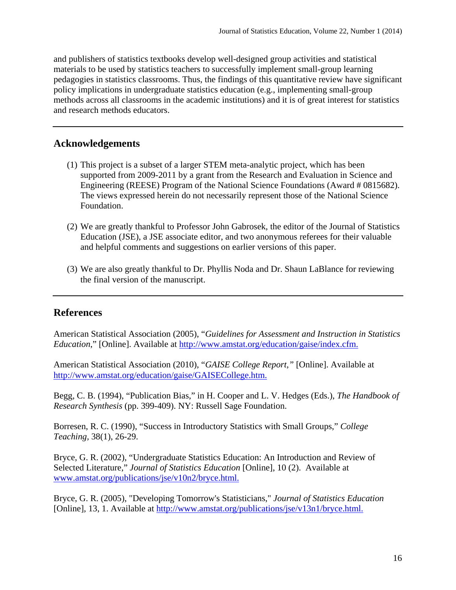and publishers of statistics textbooks develop well-designed group activities and statistical materials to be used by statistics teachers to successfully implement small-group learning pedagogies in statistics classrooms. Thus, the findings of this quantitative review have significant policy implications in undergraduate statistics education (e.g., implementing small-group methods across all classrooms in the academic institutions) and it is of great interest for statistics and research methods educators.

#### **Acknowledgements**

- (1) This project is a subset of a larger STEM meta-analytic project, which has been supported from 2009-2011 by a grant from the Research and Evaluation in Science and Engineering (REESE) Program of the National Science Foundations (Award # 0815682). The views expressed herein do not necessarily represent those of the National Science Foundation.
- (2) We are greatly thankful to Professor John Gabrosek, the editor of the Journal of Statistics Education (JSE), a JSE associate editor, and two anonymous referees for their valuable and helpful comments and suggestions on earlier versions of this paper.
- (3) We are also greatly thankful to Dr. Phyllis Noda and Dr. Shaun LaBlance for reviewing the final version of the manuscript.

#### **References**

American Statistical Association (2005), "*Guidelines for Assessment and Instruction in Statistics Education*," [Online]. Available at http://www.amstat.org/education/gaise/index.cfm.

American Statistical Association (2010), "*GAISE College Report,"* [Online]. Available at http://www.amstat.org/education/gaise/GAISECollege.htm.

Begg, C. B. (1994), "Publication Bias," in H. Cooper and L. V. Hedges (Eds.), *The Handbook of Research Synthesis* (pp. 399-409). NY: Russell Sage Foundation.

Borresen, R. C. (1990), "Success in Introductory Statistics with Small Groups," *College Teaching,* 38(1), 26-29.

Bryce, G. R. (2002), "Undergraduate Statistics Education: An Introduction and Review of Selected Literature," *Journal of Statistics Education* [Online], 10 (2). Available at www.amstat.org/publications/jse/v10n2/bryce.html.

Bryce, G. R. (2005), "Developing Tomorrow's Statisticians," *Journal of Statistics Education*  [Online], 13, 1. Available at http://www.amstat.org/publications/jse/v13n1/bryce.html.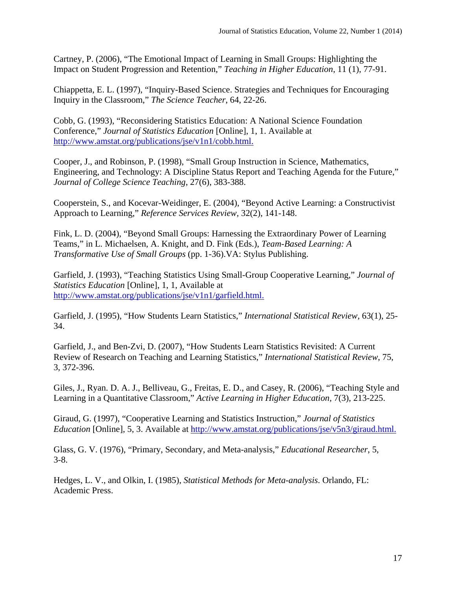Cartney, P. (2006), "The Emotional Impact of Learning in Small Groups: Highlighting the Impact on Student Progression and Retention," *Teaching in Higher Education*, 11 (1), 77-91.

Chiappetta, E. L. (1997), "Inquiry-Based Science. Strategies and Techniques for Encouraging Inquiry in the Classroom," *The Science Teacher*, 64, 22-26.

Cobb, G. (1993), "Reconsidering Statistics Education: A National Science Foundation Conference," *Journal of Statistics Education* [Online], 1, 1. Available at http://www.amstat.org/publications/jse/v1n1/cobb.html.

Cooper, J., and Robinson, P. (1998), "Small Group Instruction in Science, Mathematics, Engineering, and Technology: A Discipline Status Report and Teaching Agenda for the Future," *Journal of College Science Teaching*, 27(6), 383-388.

Cooperstein, S., and Kocevar-Weidinger, E. (2004), "Beyond Active Learning: a Constructivist Approach to Learning," *Reference Services Review,* 32(2), 141-148.

Fink, L. D. (2004), "Beyond Small Groups: Harnessing the Extraordinary Power of Learning Teams," in L*.* Michaelsen, A. Knight, and D. Fink (Eds.), *Team-Based Learning: A Transformative Use of Small Groups* (pp. 1-36).VA: Stylus Publishing.

Garfield, J. (1993), "Teaching Statistics Using Small-Group Cooperative Learning," *Journal of Statistics Education* [Online], 1, 1, Available at http://www.amstat.org/publications/jse/v1n1/garfield.html.

Garfield, J. (1995), "How Students Learn Statistics," *International Statistical Review,* 63(1), 25- 34.

Garfield, J., and Ben-Zvi, D. (2007), "How Students Learn Statistics Revisited: A Current Review of Research on Teaching and Learning Statistics," *International Statistical Review*, 75, 3, 372-396.

Giles, J., Ryan. D. A. J., Belliveau, G., Freitas, E. D., and Casey, R. (2006), "Teaching Style and Learning in a Quantitative Classroom," *Active Learning in Higher Education,* 7(3), 213-225.

Giraud, G. (1997), "Cooperative Learning and Statistics Instruction," *Journal of Statistics Education* [Online], 5, 3. Available at http://www.amstat.org/publications/jse/v5n3/giraud.html.

Glass, G. V. (1976), "Primary, Secondary, and Meta-analysis," *Educational Researcher*, 5, 3-8.

Hedges, L. V., and Olkin, I. (1985), *Statistical Methods for Meta-analysis*. Orlando, FL: Academic Press.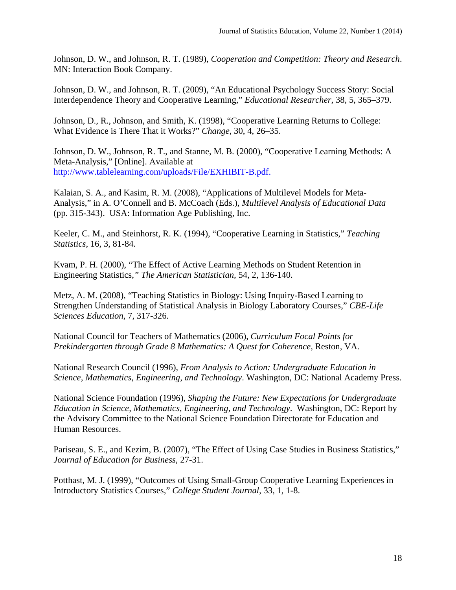Johnson, D. W., and Johnson, R. T. (1989), *Cooperation and Competition: Theory and Research*. MN: Interaction Book Company.

Johnson, D. W., and Johnson, R. T. (2009), "An Educational Psychology Success Story: Social Interdependence Theory and Cooperative Learning," *Educational Researcher*, 38, 5, 365–379.

Johnson, D., R., Johnson, and Smith, K. (1998), "Cooperative Learning Returns to College: What Evidence is There That it Works?" *Change*, 30, 4, 26–35.

Johnson, D. W., Johnson, R. T., and Stanne, M. B. (2000), "Cooperative Learning Methods: A Meta-Analysis," [Online]. Available at http://www.tablelearning.com/uploads/File/EXHIBIT-B.pdf.

Kalaian, S. A., and Kasim, R. M. (2008), "Applications of Multilevel Models for Meta-Analysis," in A. O'Connell and B. McCoach (Eds.), *Multilevel Analysis of Educational Data* (pp. 315-343). USA: Information Age Publishing, Inc.

Keeler, C. M., and Steinhorst, R. K. (1994), "Cooperative Learning in Statistics," *Teaching Statistics,* 16, 3, 81-84.

Kvam, P. H. (2000), "The Effect of Active Learning Methods on Student Retention in Engineering Statistics,*" The American Statistician,* 54, 2, 136-140.

Metz, A. M. (2008), "Teaching Statistics in Biology: Using Inquiry-Based Learning to Strengthen Understanding of Statistical Analysis in Biology Laboratory Courses," *CBE-Life Sciences Education*, 7, 317-326.

National Council for Teachers of Mathematics (2006), *Curriculum Focal Points for Prekindergarten through Grade 8 Mathematics: A Quest for Coherence,* Reston, VA.

National Research Council (1996), *From Analysis to Action: Undergraduate Education in Science, Mathematics, Engineering, and Technology*. Washington, DC: National Academy Press.

National Science Foundation (1996), *Shaping the Future: New Expectations for Undergraduate Education in Science, Mathematics, Engineering, and Technology*. Washington, DC: Report by the Advisory Committee to the National Science Foundation Directorate for Education and Human Resources.

Pariseau, S. E., and Kezim, B. (2007), "The Effect of Using Case Studies in Business Statistics," *Journal of Education for Business,* 27-31.

Potthast, M. J. (1999), "Outcomes of Using Small-Group Cooperative Learning Experiences in Introductory Statistics Courses," *College Student Journal,* 33, 1, 1-8.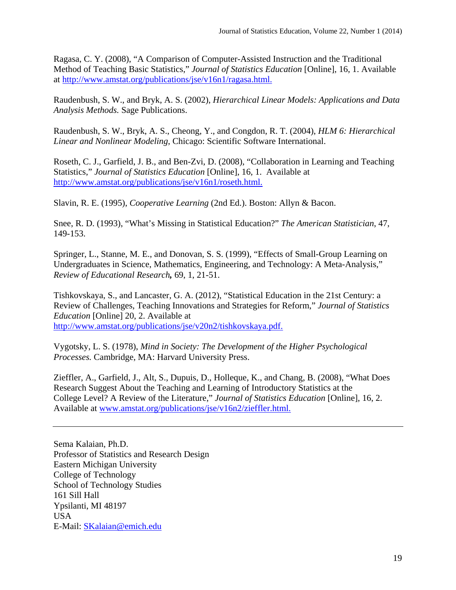Ragasa, C. Y. (2008), "A Comparison of Computer-Assisted Instruction and the Traditional Method of Teaching Basic Statistics," *Journal of Statistics Education* [Online], 16, 1. Available at http://www.amstat.org/publications/jse/v16n1/ragasa.html.

Raudenbush, S. W., and Bryk, A. S. (2002), *Hierarchical Linear Models: Applications and Data Analysis Methods.* Sage Publications.

Raudenbush, S. W., Bryk, A. S., Cheong, Y., and Congdon, R. T. (2004), *HLM 6: Hierarchical Linear and Nonlinear Modeling*, Chicago: Scientific Software International.

Roseth, C. J., Garfield, J. B., and Ben-Zvi, D. (2008), "Collaboration in Learning and Teaching Statistics," *Journal of Statistics Education* [Online], 16, 1. Available at http://www.amstat.org/publications/jse/v16n1/roseth.html.

Slavin, R. E. (1995), *Cooperative Learning* (2nd Ed.). Boston: Allyn & Bacon.

Snee, R. D. (1993), "What's Missing in Statistical Education?" *The American Statistician*, 47, 149-153.

Springer, L., Stanne, M. E., and Donovan, S. S. (1999), "Effects of Small-Group Learning on Undergraduates in Science, Mathematics, Engineering, and Technology: A Meta-Analysis," *Review of Educational Research,* 69, 1, 21-51.

Tishkovskaya, S., and Lancaster, G. A. (2012), "Statistical Education in the 21st Century: a Review of Challenges, Teaching Innovations and Strategies for Reform," *Journal of Statistics Education* [Online] 20, 2. Available at http://www.amstat.org/publications/jse/v20n2/tishkovskaya.pdf.

Vygotsky, L. S. (1978), *Mind in Society: The Development of the Higher Psychological Processes.* Cambridge, MA: Harvard University Press.

Zieffler, A., Garfield, J., Alt, S., Dupuis, D., Holleque, K., and Chang, B. (2008), "What Does Research Suggest About the Teaching and Learning of Introductory Statistics at the College Level? A Review of the Literature," *Journal of Statistics Education* [Online], 16, 2. Available at www.amstat.org/publications/jse/v16n2/zieffler.html.

Sema Kalaian, Ph.D. Professor of Statistics and Research Design Eastern Michigan University College of Technology School of Technology Studies 161 Sill Hall Ypsilanti, MI 48197 USA E-Mail: SKalaian@emich.edu